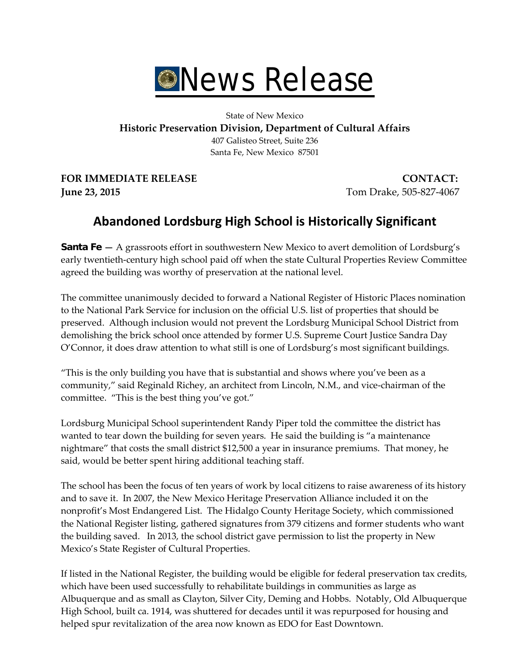

State of New Mexico **Historic Preservation Division, Department of Cultural Affairs** 407 Galisteo Street, Suite 236 Santa Fe, New Mexico 87501

**FOR IMMEDIATE RELEASE CONTACT: June 23, 2015** Tom Drake, 505-827-4067

## **Abandoned Lordsburg High School is Historically Significant**

**Santa Fe —** A grassroots effort in southwestern New Mexico to avert demolition of Lordsburg's early twentieth-century high school paid off when the state Cultural Properties Review Committee agreed the building was worthy of preservation at the national level.

The committee unanimously decided to forward a National Register of Historic Places nomination to the National Park Service for inclusion on the official U.S. list of properties that should be preserved. Although inclusion would not prevent the Lordsburg Municipal School District from demolishing the brick school once attended by former U.S. Supreme Court Justice Sandra Day O'Connor, it does draw attention to what still is one of Lordsburg's most significant buildings.

"This is the only building you have that is substantial and shows where you've been as a community," said Reginald Richey, an architect from Lincoln, N.M., and vice-chairman of the committee. "This is the best thing you've got."

Lordsburg Municipal School superintendent Randy Piper told the committee the district has wanted to tear down the building for seven years. He said the building is "a maintenance nightmare" that costs the small district \$12,500 a year in insurance premiums. That money, he said, would be better spent hiring additional teaching staff.

The school has been the focus of ten years of work by local citizens to raise awareness of its history and to save it. In 2007, the New Mexico Heritage Preservation Alliance included it on the nonprofit's Most Endangered List. The Hidalgo County Heritage Society, which commissioned the National Register listing, gathered signatures from 379 citizens and former students who want the building saved. In 2013, the school district gave permission to list the property in New Mexico's State Register of Cultural Properties.

If listed in the National Register, the building would be eligible for federal preservation tax credits, which have been used successfully to rehabilitate buildings in communities as large as Albuquerque and as small as Clayton, Silver City, Deming and Hobbs. Notably, Old Albuquerque High School, built ca. 1914, was shuttered for decades until it was repurposed for housing and helped spur revitalization of the area now known as EDO for East Downtown.